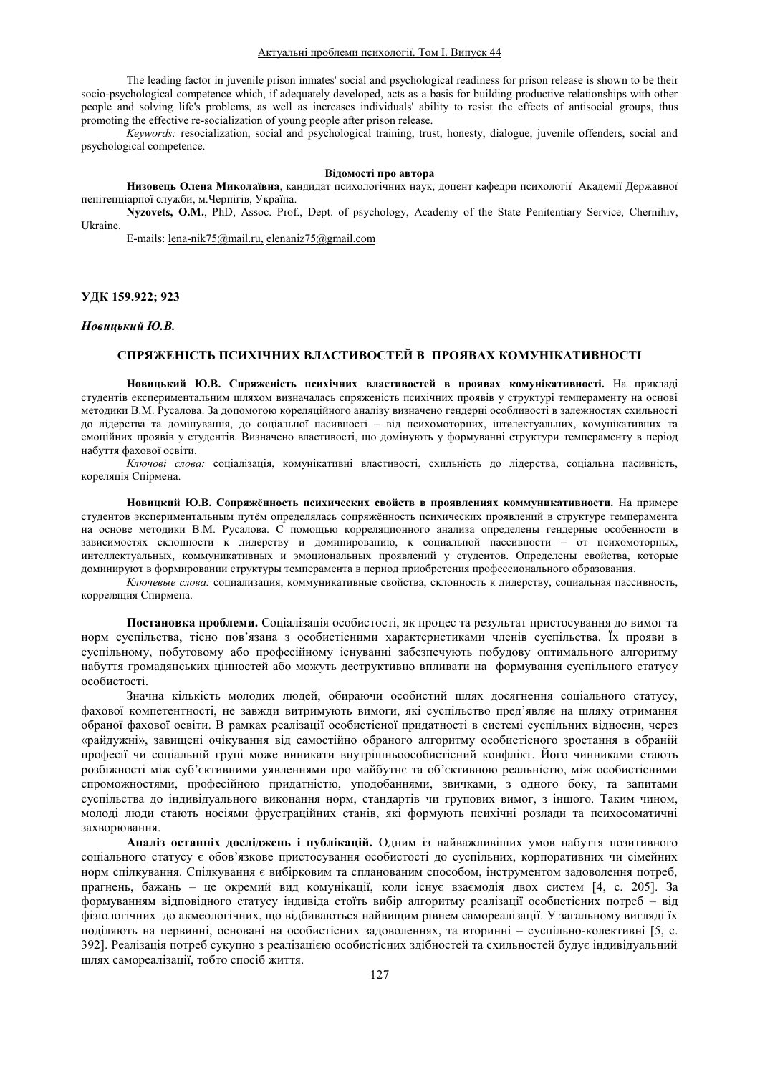The leading factor in juvenile prison inmates' social and psychological readiness for prison release is shown to be their socio-psychological competence which, if adequately developed, acts as a basis for building productive relationships with other people and solving life's problems, as well as increases individuals' ability to resist the effects of antisocial groups, thus promoting the effective re-socialization of young people after prison release.

*Keywords:* resocialization, social and psychological training, trust, honesty, dialogue, juvenile offenders, social and psychological competence.

### **Відомості про автора**

Низовець Олена Миколаївна, кандидат психологічних наук, доцент кафедри психології Академії Державної пенітенціарної служби, м.Чернігів, Україна.

Nyzovets, O.M., PhD, Assoc. Prof., Dept. of psychology, Academy of the State Penitentiary Service, Chernihiv, Ukraine.

E-mails: lena-nik75@mail.ru, elenaniz75@gmail.com

## **ɍȾɄ 159.922; 923**

# **Новицький Ю.В.**

# СПРЯЖЕНІСТЬ ПСИХІЧНИХ ВЛАСТИВОСТЕЙ В ПРОЯВАХ КОМУНІКАТИВНОСТІ

Новицький Ю.В. Спряженість психічних властивостей в проявах комунікативності. На прикладі студентів експериментальним шляхом визначалась спряженість психічних проявів у структурі темпераменту на основі методики В.М. Русалова. За допомогою кореляційного аналізу визначено гендерні особливості в залежностях схильності до лідерства та домінування, до соціальної пасивності - від психомоторних, інтелектуальних, комунікативних та емоційних проявів у студентів. Визначено властивості, що домінують у формуванні структури темпераменту в період набуття фахової освіти.

*Ключові слова*: соціалізація, комунікативні властивості, схильність до лідерства, соціальна пасивність, кореляція Спірмена.

Новицкий Ю.В. Сопряжённость психических свойств в проявлениях коммуникативности. На примере студентов экспериментальным путём определялась сопряжённость психических проявлений в структуре темперамента на основе методики В.М. Русалова. С помощью корреляционного анализа определены гендерные особенности в зависимостях склонности к лидерству и доминированию, к социальной пассивности - от психомоторных, интеллектуальных, коммуникативных и эмоциональных проявлений у студентов. Определены свойства, которые доминируют в формировании структуры темперамента в период приобретения профессионального образования.

Ключевые слова: социализация, коммуникативные свойства, склонность к лидерству, социальная пассивность, корреляция Спирмена.

Постановка проблеми. Соціалізація особистості, як процес та результат пристосування до вимог та норм суспільства, тісно пов'язана з особистісними характеристиками членів суспільства. Їх прояви в суспільному, побутовому або професійному існуванні забезпечують побудову оптимального алгоритму набуття громалянських цінностей або можуть деструктивно впливати на формування суспільного статусу особистості.

Значна кількість молодих людей, обираючи особистий шлях досягнення соціального статусу, фахової компетентності, не завжди витримують вимоги, які суспільство пред'являє на шляху отримання обраної фахової освіти. В рамках реалізації особистісної придатності в системі суспільних відносин, через «райдужні», завищені очікування від самостійно обраного алгоритму особистісного зростання в обраній професії чи соціальній групі може виникати внутрішньоособистісний конфлікт. Його чинниками стають розбіжності між суб'єктивними уявленнями про майбутнє та об'єктивною реальністю, між особистісними спроможностями, професійною придатністю, уподобаннями, звичками, з одного боку, та запитами суспільства до індивідуального виконання норм, стандартів чи групових вимог, з іншого. Таким чином, молоді люди стають носіями фрустраційних станів, які формують психічні розлади та психосоматичні захворювання.

Аналіз останніх досліджень і публікацій. Одним із найважливіших умов набуття позитивного соціального статусу є обов'язкове пристосування особистості до суспільних, корпоративних чи сімейних норм спілкування. Спілкування є вибірковим та спланованим способом, інструментом задоволення потреб, прагнень, бажань - це окремий вид комунікації, коли існує взаємодія двох систем [4, с. 205]. За формуванням відповідного статусу індивіда стоїть вибір алгоритму реалізації особистісних потреб - від фізіологічних до акмеологічних, що відбиваються найвищим рівнем самореалізації. У загальному вигляді їх поліляють на первинні, основані на особистісних заловоленнях, та вторинні – суспільно-колективні [5, с. 392]. Реалізація потреб сукупно з реалізацією особистісних здібностей та схильностей будує індивідуальний шлях самореалізації, тобто спосіб життя.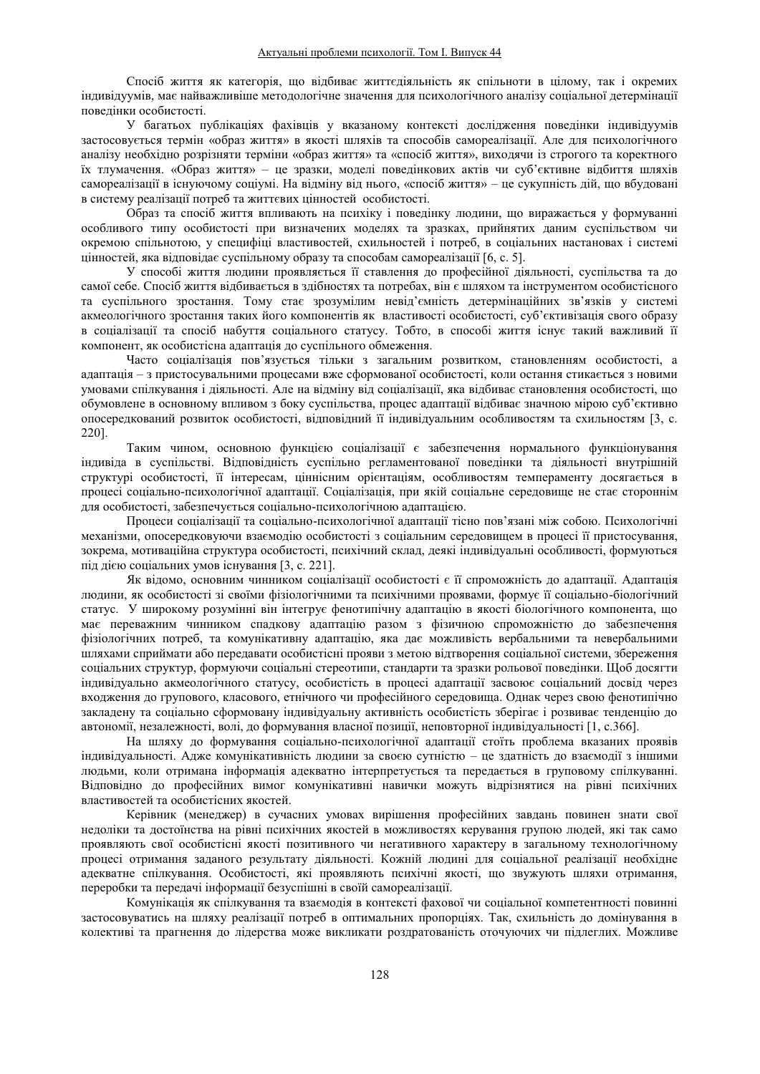Спосіб життя як категорія, що відбиває життєдіяльність як спільноти в цілому, так і окремих індивідуумів, має найважливіше методологічне значення для психологічного аналізу соціальної детермінації поведінки особистості.

У багатьох публікаціях фахівців у вказаному контексті дослідження поведінки індивідуумів застосовується термін «образ життя» в якості шляхів та способів самореалізації. Але для психологічного аналізу необхідно розрізняти терміни «образ життя» та «спосіб життя», виходячи із строгого та коректного їх тлумачення. «Образ життя» - це зразки, моделі поведінкових актів чи суб'єктивне відбиття шляхів самореалізації в існуючому соціумі. На відміну від нього, «спосіб життя» - це сукупність дій, що вбудовані в систему реалізації потреб та життєвих цінностей особистості.

Образ та спосіб життя впливають на психіку і поведінку людини, що виражається у формуванні особливого типу особистості при визначених моделях та зразках, прийнятих даним суспільством чи окремою спільнотою, у специфіці властивостей, схильностей і потреб, в соціальних настановах і системі цінностей, яка відповідає суспільному образу та способам самореалізації [6, с. 5].

У способі життя людини проявляється її ставлення до професійної діяльності, суспільства та до самої себе. Спосіб життя відбивається в здібностях та потребах, він є шляхом та інструментом особистісного та суспільного зростання. Тому стає зрозумілим невід'ємність детермінаційних зв'язків у системі акмеологічного зростання таких його компонентів як властивості особистості, суб'єктивізація свого образу в соціалізації та спосіб набуття соціального статусу. Тобто, в способі життя існує такий важливий її компонент, як особистісна адаптація до суспільного обмеження.

Часто соціалізація пов'язується тільки з загальним розвитком, становленням особистості, а адаптація – з пристосувальними процесами вже сформованої особистості, коли остання стикається з новими умовами спілкування і діяльності. Але на відміну від соціалізації, яка відбиває становлення особистості, що обумовлене в основному впливом з боку суспільства, процес адаптації відбиває значною мірою суб'єктивно опосередкований розвиток особистості, відповідний її індивідуальним особливостям та схильностям [3, с. 220].

Таким чином, основною функцією соціалізації є забезпечення нормального функціонування індивіда в суспільстві. Відповідність суспільно регламентованої поведінки та діяльності внутрішній структурі особистості, її інтересам, ціннісним орієнтаціям, особливостям темпераменту досягається в процесі соціально-психологічної адаптації. Соціалізація, при якій соціальне середовище не стає стороннім для особистості, забезпечується соціально-психологічною адаптацією.

Процеси соціалізації та соціально-психологічної адаптації тісно пов'язані між собою. Психологічні механізми, опосередковуючи взаємодію особистості з соціальним середовищем в процесі її пристосування, зокрема, мотиваційна структура особистості, психічний склад, деякі індивідуальні особливості, формуються під дією соціальних умов існування [3, с. 221].

Як відомо, основним чинником соціалізації особистості є її спроможність до адаптації. Адаптація людини, як особистості зі своїми фізіологічними та психічними проявами, формує її соціально-біологічний статус. У широкому розумінні він інтегрує фенотипічну адаптацію в якості біологічного компонента, що має переважним чинником спадкову адаптацію разом з фізичною спроможністю до забезпечення фізіологічних потреб, та комунікативну адаптацію, яка дає можливість вербальними та невербальними шляхами сприймати або передавати особистісні прояви з метою відтворення соціальної системи, збереження соціальних структур, формуючи соціальні стереотипи, стандарти та зразки рольової поведінки. Щоб досягти індивідуально акмеологічного статусу, особистість в процесі адаптації засвоює соціальний досвід через входження до групового, класового, етнічного чи професійного середовища. Однак через свою фенотипічно закладену та соціально сформовану індивідуальну активність особистість зберігає і розвиває тенденцію до автономії, незалежності, волі, до формування власної позиції, неповторної індивідуальності [1, с.366].

На шляху до формування соціально-психологічної адаптації стоїть проблема вказаних проявів індивідуальності. Адже комунікативність людини за своєю сутністю - це здатність до взаємодії з іншими людьми, коли отримана інформація адекватно інтерпретується та передається в груповому спілкуванні. Відповідно до професійних вимог комунікативні навички можуть відрізнятися на рівні психічних властивостей та особистісних якостей.

Керівник (менеджер) в сучасних умовах вирішення професійних завдань повинен знати свої недоліки та достоїнства на рівні психічних якостей в можливостях керування групою людей, які так само проявляють свої особистісні якості позитивного чи негативного характеру в загальному технологічному процесі отримання заданого результату діяльності. Кожній людині для соціальної реалізації необхідне алекватне спілкування. Особистості, які проявляють психічні якості, що звужують шляхи отримання, переробки та передачі інформації безуспішні в своїй самореалізації.

Комунікація як спілкування та взаємодія в контексті фахової чи соціальної компетентності повинні застосовуватись на шляху реалізації потреб в оптимальних пропорціях. Так, схильність до домінування в колективі та прагнення до лідерства може викликати роздратованість оточуючих чи підлеглих. Можливе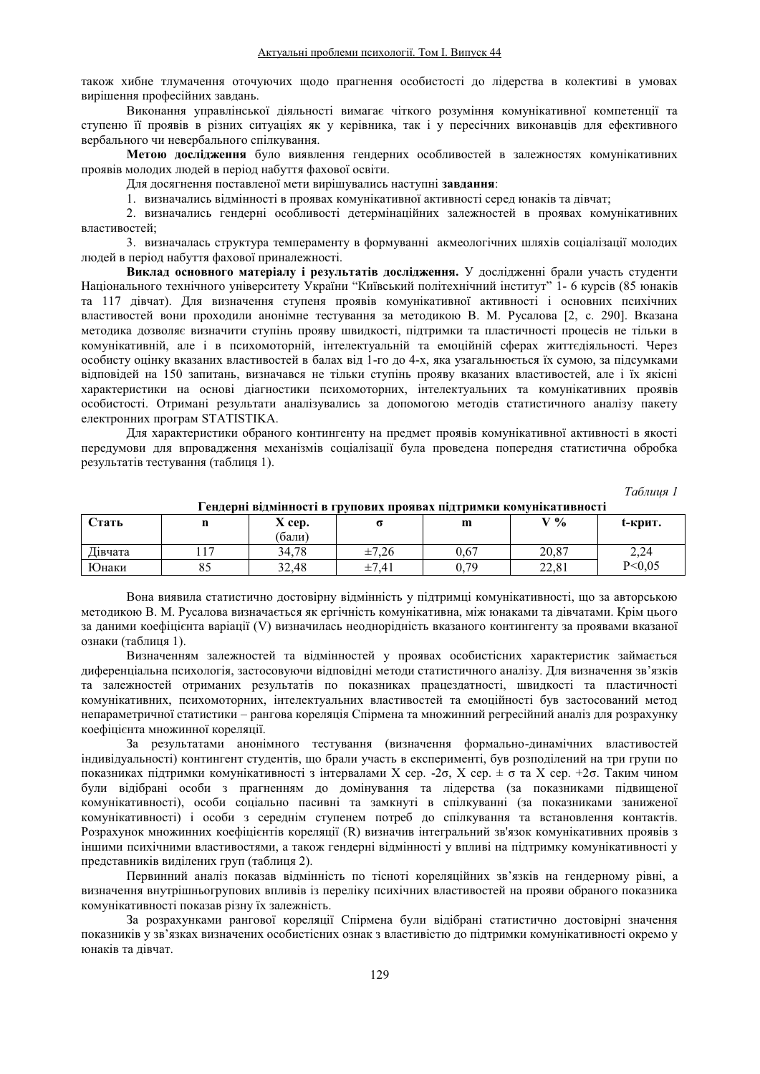також хибне тлумачення оточуючих щодо прагнення особистості до лідерства в колективі в умовах вирішення професійних завдань.

Виконання управлінської діяльності вимагає чіткого розуміння комунікативної компетенції та ступеню її проявів в різних ситуаціях як у керівника, так і у пересічних виконавців для ефективного вербального чи невербального спілкування.

Метою дослідження було виявлення гендерних особливостей в залежностях комунікативних проявів молодих людей в період набуття фахової освіти.

Для досягнення поставленої мети вирішувались наступні завдання:

1. визначались відмінності в проявах комунікативної активності серед юнаків та дівчат;

2. визначались гендерні особливості детермінаційних залежностей в проявах комунікативних властивостей;

3. визначалась структура темпераменту в формуванні акмеологічних шляхів соціалізації молодих людей в період набуття фахової приналежності.

Виклад основного матеріалу і результатів дослідження. У дослідженні брали участь студенти Національного технічного університету України "Київський політехнічний інститут" 1- 6 курсів (85 юнаків та 117 дівчат). Для визначення ступеня проявів комунікативної активності і основних психічних властивостей вони проходили анонімне тестування за методикою В. М. Русалова [2, с. 290]. Вказана методика дозволяє визначити ступінь прояву швидкості, підтримки та пластичності процесів не тільки в комунікативній, але і в психомоторній, інтелектуальній та емоційній сферах життєдіяльності. Через особисту оцінку вказаних властивостей в балах від 1-го до 4-х, яка узагальнюється їх сумою, за підсумками відповідей на 150 запитань, визначався не тільки ступінь прояву вказаних властивостей, але і їх якісні характеристики на основі діагностики психомоторних, інтелектуальних та комунікативних проявів особистості. Отримані результати аналізувались за допомогою методів статистичного аналізу пакету електронних програм STATISTIKA.

Для характеристики обраного контингенту на прелмет проявів комунікативної активності в якості передумови для впровадження механізмів соціалізації була проведена попередня статистична обробка результатів тестування (таблиця 1).

*Таблиця* 1

| <b>Стать</b> | щ                           | $\overline{\phantom{a}}$<br>$X$ cep. | --                  | m    | $V\%$ | t-крит.  |
|--------------|-----------------------------|--------------------------------------|---------------------|------|-------|----------|
|              |                             | (бали)                               |                     |      |       |          |
| Дівчата      | 1 <sub>7</sub><br><b>II</b> | 34.78                                | $-7.26$<br>士/       | 0,67 | 20.87 | 2,24     |
| Юнаки        | 85                          | 32,48                                | $-7.41$<br>--<br>ᆂ, | 0,79 | 22,81 | P < 0.05 |

Гендерні відмінності в групових проявах підтримки комунікативності

Вона виявила статистично достовірну відмінність у підтримці комунікативності, що за авторською методикою В. М. Русалова визначається як ергічність комунікативна, між юнаками та дівчатами. Крім цього за ланими коефіцієнта варіації (V) визначилась неоднорілність вказаного контингенту за проявами вказаної ознаки (таблиця 1).

Визначенням залежностей та відмінностей у проявах особистісних характеристик займається диференціальна психологія, застосовуючи відповідні методи статистичного аналізу. Для визначення зв'язків та залежностей отриманих результатів по показниках працездатності, швидкості та пластичності комунікативних, психомоторних, інтелектуальних властивостей та емоційності був застосований метод непараметричної статистики – рангова кореляція Спірмена та множинний регресійний аналіз для розрахунку коефіцієнта множинної кореляції.

За результатами анонімного тестування (визначення формально-динамічних властивостей індивідуальності) контингент студентів, що брали участь в експерименті, був розподілений на три групи по показниках підтримки комунікативності з інтервалами X сер. -2 $\sigma$ , X сер.  $\pm \sigma$  та X сер. +2 $\sigma$ . Таким чином були відібрані особи з прагненням до домінування та лідерства (за показниками підвищеної комунікативності), особи соціально пасивні та замкнуті в спілкуванні (за показниками заниженої комунікативності) і особи з середнім ступенем потреб до спілкування та встановлення контактів. Розрахунок множинних коефіцієнтів кореляції (R) визначив інтегральний зв'язок комунікативних проявів з іншими психічними властивостями, а також гендерні відмінності у впливі на підтримку комунікативності у представників виділених груп (таблиця 2).

Первинний аналіз показав відмінність по тісноті кореляційних зв'язків на гендерному рівні, а визначення внутрішньогрупових впливів із переліку психічних властивостей на прояви обраного показника комунікативності показав різну їх залежність.

За розрахунками рангової кореляції Спірмена були вілібрані статистично лостовірні значення показників у зв'язках визначених особистісних ознак з властивістю ло пілтримки комунікативності окремо у юнаків та дівчат.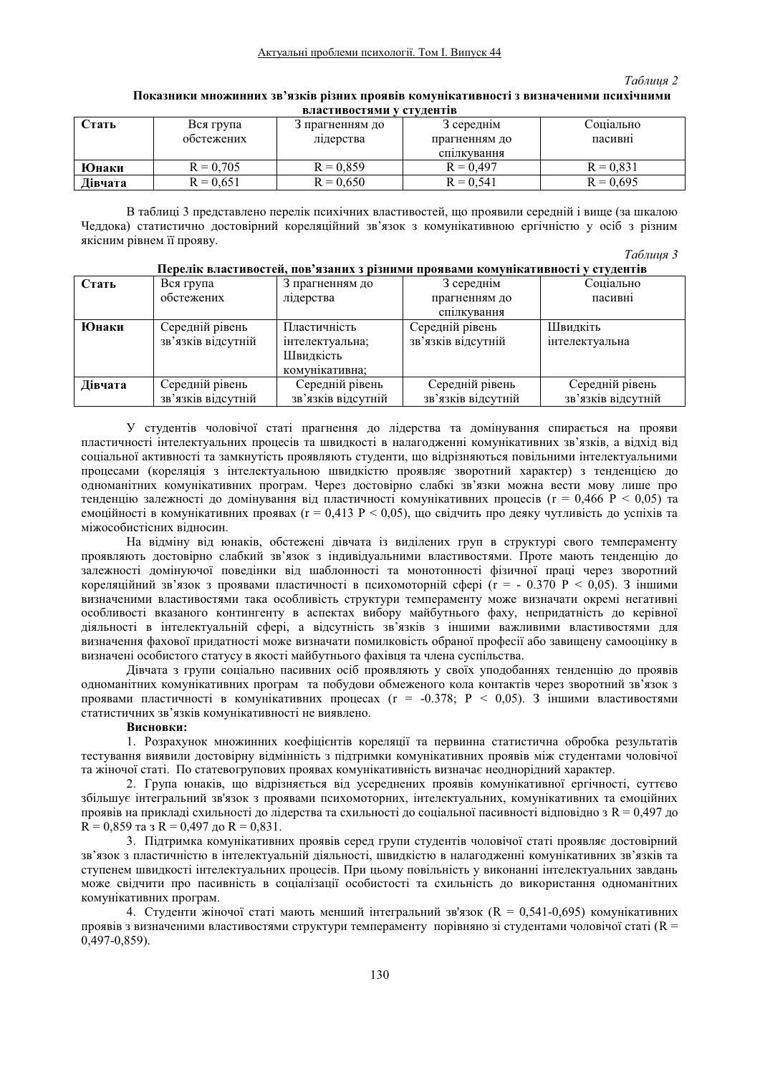#### *Таблиия 2*

# Показники множинних зв'язків різних проявів комунікативності з визначеними психічними **BUSHER**

| Стать   | Вся група   | 3 прагненням до | 3 середнім    | Соціально   |
|---------|-------------|-----------------|---------------|-------------|
|         | обстежених  | лідерства       | прагненням до | пасивні     |
|         |             |                 | спілкування   |             |
| Юнаки   | $R = 0.705$ | $R = 0.859$     | $R = 0.497$   | $R = 0.831$ |
| Дівчата | $R = 0.651$ | $R = 0.650$     | $R = 0.541$   | $R = 0.695$ |

В таблиці 3 представлено перелік психічних властивостей, що проявили середній і вище (за шкалою Чеддока) статистично достовірний кореляційний зв'язок з комунікативною ергічністю у осіб з різним якісним рівнем її прояву.

*Tаблиия 3* 

|         |                    |                    |                    | $\sim$             |
|---------|--------------------|--------------------|--------------------|--------------------|
| Стать   | Вся група          | 3 прагненням до    | 3 середнім         | Соціально          |
|         | обстежених         | лідерства          | прагненням до      | пасивні            |
|         |                    |                    | спілкування        |                    |
| Юнаки   | Середній рівень    | Пластичність       | Середній рівень    | Швидкіть           |
|         | зв'язків відсутній | інтелектуальна;    | зв'язків відсутній | інтелектуальна     |
|         |                    | Швидкість          |                    |                    |
|         |                    | комунікативна;     |                    |                    |
| Дівчата | Середній рівень    | Середній рівень    | Середній рівень    | Середній рівень    |
|         | зв'язків відсутній | зв'язків відсутній | зв'язків відсутній | зв'язків відсутній |

#### Перелік властивостей, пов'язаних з різними проявами комунікативності у студентів

У студентів чоловічої статі прагнення до лідерства та домінування спирається на прояви пластичності інтелектуальних процесів та швидкості в налагодженні комунікативних зв'язків, а відхід від соціальної активності та замкнутість проявляють студенти, що відрізняються повільними інтелектуальними процесами (кореляція з інтелектуальною швидкістю проявляє зворотний характер) з тенденцією до одноманітних комунікативних програм. Через достовірно слабкі зв'язки можна вести мову лише про тенденцію залежності до домінування від пластичності комунікативних процесів ( $r = 0.466$  P < 0.05) та емоційності в комунікативних проявах (г = 0,413 P < 0,05), що свідчить про деяку чутливість до успіхів та міжособистісних відносин.

На відміну від юнаків, обстежені дівчата із виділених груп в структурі свого темпераменту проявляють достовірно слабкий зв'язок з індивідуальними властивостями. Проте мають тенденцію до залежності домінуючої поведінки від шаблонності та монотонності фізичної праці через зворотний кореляційний зв'язок з проявами пластичності в психомоторній сфері (r = - 0.370 P < 0,05). З іншими визначеними властивостями така особливість структури темпераменту може визначати окремі негативні особливості вказаного контингенту в аспектах вибору майбутнього фаху, непридатність до керівної діяльності в інтелектуальній сфері, а відсутність зв'язків з іншими важливими властивостями для визначення фахової придатності може визначати помилковість обраної професії або завищену самооцінку в визначені особистого статусу в якості майбутнього фахівця та члена суспільства.

Дівчата з групи соціально пасивних осіб проявляють у своїх уподобаннях тенденцію до проявів одноманітних комунікативних програм та побудови обмеженого кола контактів через зворотний зв'язок з проявами пластичності в комунікативних процесах (г = -0.378; Р < 0.05). З іншими властивостями статистичних зв'язків комунікативності не виявлено.

### **Висновки:**

1. Розрахунок множинних коефіцієнтів кореляції та первинна статистична обробка результатів тестування виявили лостовірну вілмінність з пілтримки комунікативних проявів між стулентами чоловічої та жіночої статі. По статевогрупових проявах комунікативність визначає неолнорілний характер.

2. Група юнаків, що відрізняється від усереднених проявів комунікативної ергічності, суттєво збільшує інтегральний зв'язок з проявами психомоторних, інтелектуальних, комунікативних та емоційних проявів на прикладі схильності до лідерства та схильності до соціальної пасивності відповідно з R = 0,497 до  $R = 0.859$  та з  $R = 0.497$  до  $R = 0.831$ .

3. Підтримка комунікативних проявів серед групи студентів чоловічої статі проявляє достовірний зв'язок з пластичністю в інтелектуальній діяльності, швидкістю в налагодженні комунікативних зв'язків та ступенем швидкості інтелектуальних процесів. При цьому повільність у виконанні інтелектуальних завдань може свідчити про пасивність в соціалізації особистості та схильність до використання одноманітних комунікативних програм.

4. Студенти жіночої статі мають менший інтегральний зв'язок (R = 0,541-0,695) комунікативних проявів з визначеними властивостями структури темпераменту порівняно зі студентами чоловічої статі (R = 0,497-0,859).